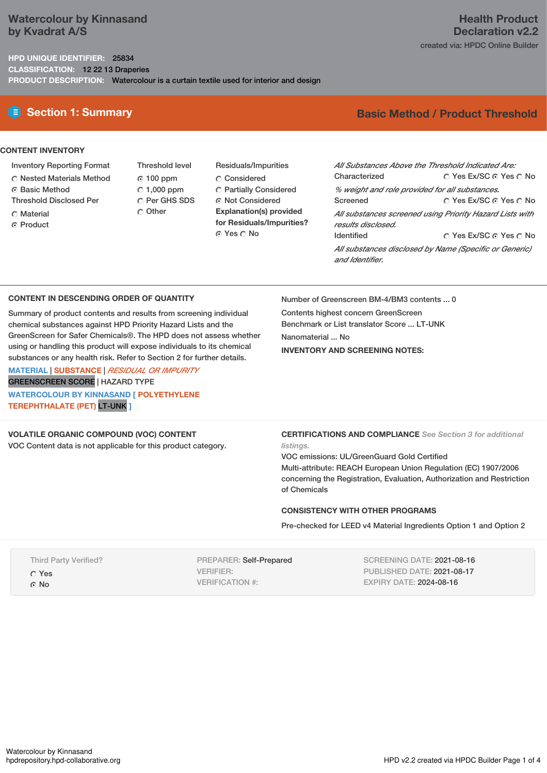## **Watercolour by Kinnasand by Kvadrat A/S**

### **HPD UNIQUE IDENTIFIER:** 25834 **CLASSIFICATION:** 12 22 13 Draperies **PRODUCT DESCRIPTION:** Watercolour is a curtain textile used for interior and design

### **CONTENT INVENTORY**

- Inventory Reporting Format
- Nested Materials Method
- Basic Method
- Threshold Disclosed Per
- **C** Material
- ⊙ Product

 $© 100 ppm$  $C$  1,000 ppm C Per GHS SDS O Other

Threshold level

Residuals/Impurities Considered Partially Considered Not Considered **Explanation(s) provided for Residuals/Impurities?** ⊙ Yes O No

# **E** Section 1: Summary **Basic Method / Product Threshold**

| All Substances Above the Threshold Indicated Are:                              |                        |  |  |  |  |
|--------------------------------------------------------------------------------|------------------------|--|--|--|--|
| Characterized                                                                  | ○ Yes Ex/SC ⊙ Yes ○ No |  |  |  |  |
| % weight and role provided for all substances.                                 |                        |  |  |  |  |
| Screened                                                                       | ∩ Yes Ex/SC ⊙ Yes ∩ No |  |  |  |  |
| All substances screened using Priority Hazard Lists with<br>results disclosed. |                        |  |  |  |  |
| <b>Identified</b>                                                              | ∩ Yes Ex/SC ∩ Yes ∩ No |  |  |  |  |
| All substances disclosed by Name (Specific or Generic)<br>and Identifier.      |                        |  |  |  |  |

### **CONTENT IN DESCENDING ORDER OF QUANTITY**

Summary of product contents and results from screening individual chemical substances against HPD Priority Hazard Lists and the GreenScreen for Safer Chemicals®. The HPD does not assess whether using or handling this product will expose individuals to its chemical substances or any health risk. Refer to Section 2 for further details.

**MATERIAL** | **SUBSTANCE** | *RESIDUAL OR IMPURITY* GREENSCREEN SCORE | HAZARD TYPE **WATERCOLOUR BY KINNASAND [ POLYETHYLENE TEREPHTHALATE (PET)** LT-UNK **]**

### **VOLATILE ORGANIC COMPOUND (VOC) CONTENT**

VOC Content data is not applicable for this product category.

Number of Greenscreen BM-4/BM3 contents ... 0

Contents highest concern GreenScreen Benchmark or List translator Score ... LT-UNK Nanomaterial ... No **INVENTORY AND SCREENING NOTES:**

### **CERTIFICATIONS AND COMPLIANCE** *See Section 3 for additional listings.*

VOC emissions: UL/GreenGuard Gold Certified Multi-attribute: REACH European Union Regulation (EC) 1907/2006 concerning the Registration, Evaluation, Authorization and Restriction of Chemicals

### **CONSISTENCY WITH OTHER PROGRAMS**

Pre-checked for LEED v4 Material Ingredients Option 1 and Option 2

| <b>Third Party Verified?</b> |
|------------------------------|
| O Yes                        |
| ⊙ No                         |

Watercolour by Kinnasand<br>hodrepository.hod-collaborative.org

PREPARER: Self-Prepared VERIFIER: VERIFICATION #:

SCREENING DATE: 2021-08-16 PUBLISHED DATE: 2021-08-17 EXPIRY DATE: 2024-08-16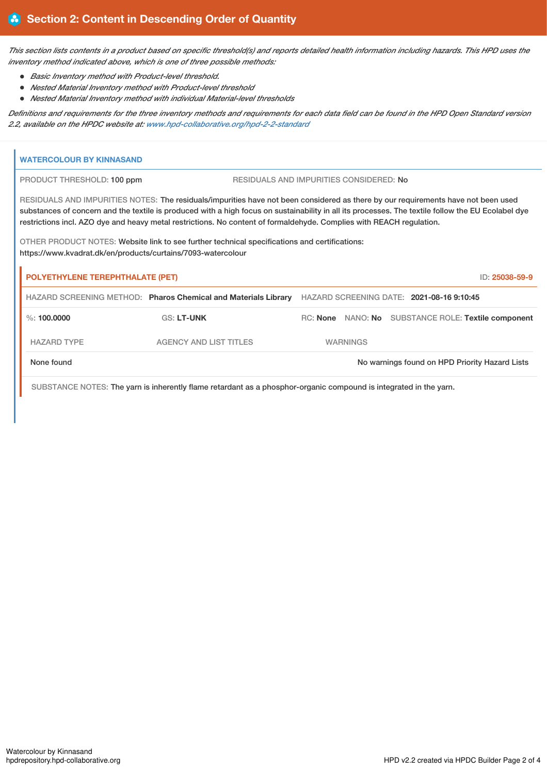This section lists contents in a product based on specific threshold(s) and reports detailed health information including hazards. This HPD uses the *inventory method indicated above, which is one of three possible methods:*

- *Basic Inventory method with Product-level threshold.*
- *Nested Material Inventory method with Product-level threshold*
- *Nested Material Inventory method with individual Material-level thresholds*

Definitions and requirements for the three inventory methods and requirements for each data field can be found in the HPD Open Standard version *2.2, available on the HPDC website at: [www.hpd-collaborative.org/hpd-2-2-standard](https://www.hpd-collaborative.org/hpd-2-2-standard)*

| <b>WATERCOLOUR BY KINNASAND</b>                                                                                                                               |                                                                                                                                                                                                                                                                                                                                                                                                                 |                                                                |                                                     |  |  |  |  |
|---------------------------------------------------------------------------------------------------------------------------------------------------------------|-----------------------------------------------------------------------------------------------------------------------------------------------------------------------------------------------------------------------------------------------------------------------------------------------------------------------------------------------------------------------------------------------------------------|----------------------------------------------------------------|-----------------------------------------------------|--|--|--|--|
|                                                                                                                                                               | PRODUCT THRESHOLD: 100 ppm                                                                                                                                                                                                                                                                                                                                                                                      |                                                                | RESIDUALS AND IMPURITIES CONSIDERED: No             |  |  |  |  |
|                                                                                                                                                               | RESIDUALS AND IMPURITIES NOTES: The residuals/impurities have not been considered as there by our requirements have not been used<br>substances of concern and the textile is produced with a high focus on sustainability in all its processes. The textile follow the EU Ecolabel dye<br>restrictions incl. AZO dye and heavy metal restrictions. No content of formaldehyde. Complies with REACH regulation. |                                                                |                                                     |  |  |  |  |
| OTHER PRODUCT NOTES: Website link to see further technical specifications and certifications:<br>https://www.kvadrat.dk/en/products/curtains/7093-watercolour |                                                                                                                                                                                                                                                                                                                                                                                                                 |                                                                |                                                     |  |  |  |  |
| <b>POLYETHYLENE TEREPHTHALATE (PET)</b><br>ID: 25038-59-9                                                                                                     |                                                                                                                                                                                                                                                                                                                                                                                                                 |                                                                |                                                     |  |  |  |  |
|                                                                                                                                                               |                                                                                                                                                                                                                                                                                                                                                                                                                 | HAZARD SCREENING METHOD: Pharos Chemical and Materials Library | HAZARD SCREENING DATE: 2021-08-16 9:10:45           |  |  |  |  |
|                                                                                                                                                               | $\%$ : 100.0000                                                                                                                                                                                                                                                                                                                                                                                                 | <b>GS: LT-UNK</b>                                              | RC: None NANO: No SUBSTANCE ROLE: Textile component |  |  |  |  |
|                                                                                                                                                               | <b>HAZARD TYPE</b>                                                                                                                                                                                                                                                                                                                                                                                              | <b>AGENCY AND LIST TITLES</b>                                  | <b>WARNINGS</b>                                     |  |  |  |  |
| None found                                                                                                                                                    |                                                                                                                                                                                                                                                                                                                                                                                                                 |                                                                | No warnings found on HPD Priority Hazard Lists      |  |  |  |  |
| SUBSTANCE NOTES: The yarn is inherently flame retardant as a phosphor-organic compound is integrated in the yarn.                                             |                                                                                                                                                                                                                                                                                                                                                                                                                 |                                                                |                                                     |  |  |  |  |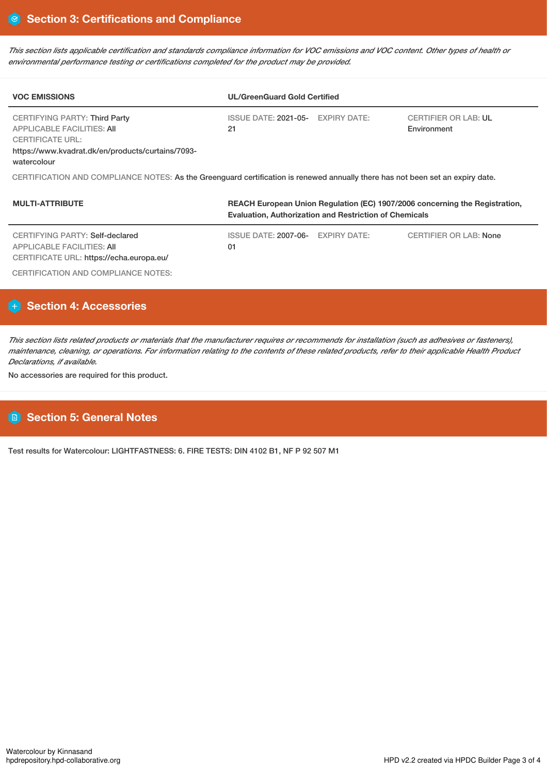This section lists applicable certification and standards compliance information for VOC emissions and VOC content. Other types of health or *environmental performance testing or certifications completed for the product may be provided.*

| <b>VOC EMISSIONS</b>                                                                                                                                              | <b>UL/GreenGuard Gold Certified</b>                                         |                                            |  |  |  |  |
|-------------------------------------------------------------------------------------------------------------------------------------------------------------------|-----------------------------------------------------------------------------|--------------------------------------------|--|--|--|--|
| CERTIFYING PARTY: Third Party<br><b>APPLICABLE FACILITIES: AII</b><br><b>CERTIFICATE URL:</b><br>https://www.kvadrat.dk/en/products/curtains/7093-<br>watercolour | ISSUE DATE: 2021-05- EXPIRY DATE:<br>21                                     | <b>CERTIFIER OR LAB: UL</b><br>Environment |  |  |  |  |
| CERTIFICATION AND COMPLIANCE NOTES: As the Greenguard certification is renewed annually there has not been set an expiry date.                                    |                                                                             |                                            |  |  |  |  |
| <b>MULTI-ATTRIBUTE</b>                                                                                                                                            | REACH European Union Regulation (EC) 1907/2006 concerning the Registration, |                                            |  |  |  |  |

|                                                                                                           | <b>Evaluation, Authorization and Restriction of Chemicals</b> |  |                               |  |
|-----------------------------------------------------------------------------------------------------------|---------------------------------------------------------------|--|-------------------------------|--|
| CERTIFYING PARTY: Self-declared<br>APPLICABLE FACILITIES: AII<br>CERTIFICATE URL: https://echa.europa.eu/ | ISSUE DATE: 2007-06- EXPIRY DATE:<br>01                       |  | <b>CERTIFIER OR LAB: None</b> |  |
| CERTIFICATION AND COMPLIANCE NOTES:                                                                       |                                                               |  |                               |  |

# **Section 4: Accessories**

This section lists related products or materials that the manufacturer requires or recommends for installation (such as adhesives or fasteners), maintenance, cleaning, or operations. For information relating to the contents of these related products, refer to their applicable Health Product *Declarations, if available.*

No accessories are required for this product.

# **Section 5: General Notes**

Test results for Watercolour: LIGHTFASTNESS: 6. FIRE TESTS: DIN 4102 B1, NF P 92 507 M1